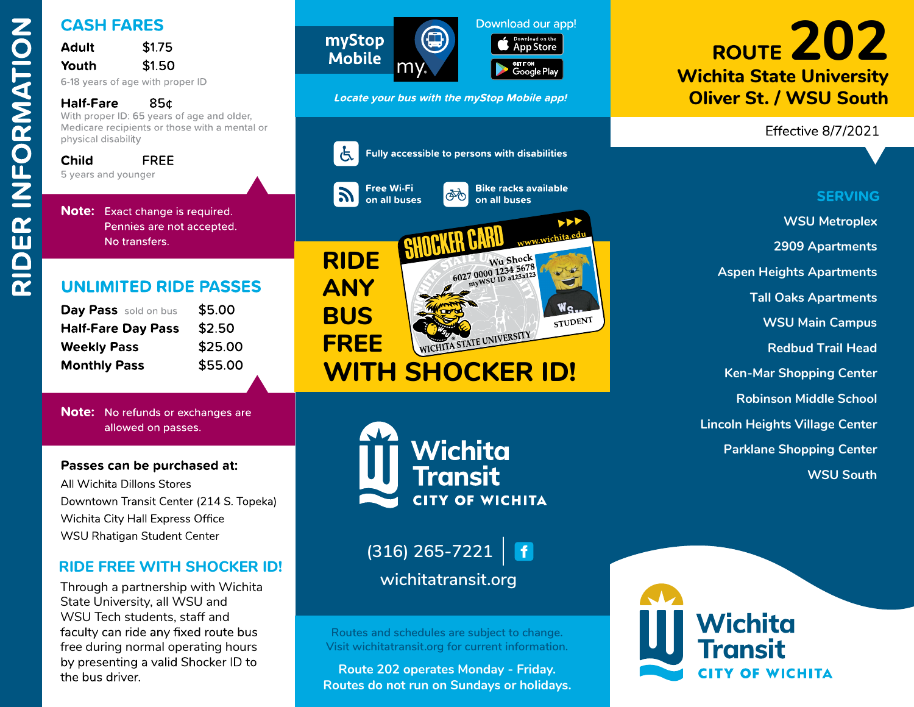

| Adult | \$1.75 |
|-------|--------|
| Youth | \$1.50 |
|       |        |

| Day Pass sold on bus      | \$5.00  |  |  |
|---------------------------|---------|--|--|
| <b>Half-Fare Day Pass</b> | \$2.50  |  |  |
| <b>Weekly Pass</b>        | \$25.00 |  |  |
| <b>Monthly Pass</b>       | \$55.00 |  |  |

Through a partnership with WichitaState University, all WSU and<br>WSU Tech students, staff and<br>faculty can ride any fixed route bus<br>free during normal operating hours<br>by presenting a valid Shocker ID to<br>the bus driver. WSU Tech students, staff and<br>faculty can ride any fixed rout<br>free during normal operating ł<br>by presenting a valid Shocker<br>the bus driver. free during normal operating hours<br>by presenting a valid Shocker ID to<br>the bus driver.









CASH FARES<br>
Nothin State University<br>
Nothin State University<br>
Nothin State University<br>
Nothin State University<br>
Nothin State University<br>
Nothin State University<br>
Nothin State University<br>
Nothin State University<br>
Nothin Sta